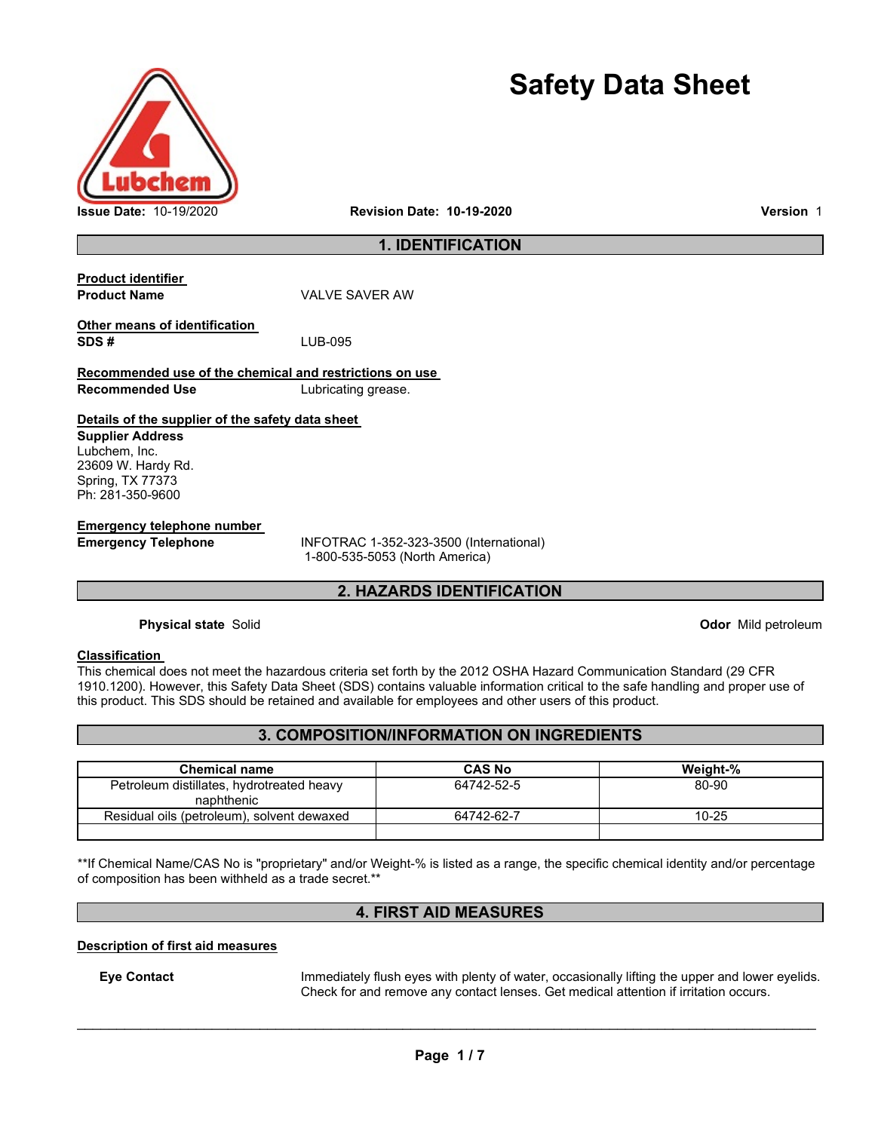

# **Safety Data Sheet**

## **1. IDENTIFICATION**

| <b>Product identifier</b><br><b>Product Name</b>        | VAI VF SAVFR AW     |
|---------------------------------------------------------|---------------------|
| Other means of identification<br>SDS#                   | LUB-095             |
| Recommended use of the chemical and restrictions on use |                     |
| Recommended Use                                         | Lubricating grease. |
| Details of the supplier of the safety data sheet        |                     |
| <b>Supplier Address</b>                                 |                     |
| Lubchem, Inc.                                           |                     |
| 23609 W. Hardy Rd.                                      |                     |
| Spring, TX 77373                                        |                     |
| Ph: 281-350-9600                                        |                     |

**Emergency telephone number** 

**Emergency Telephone** INFOTRAC 1-352-323-3500 (International) 1-800-535-5053 (North America)

## **2. HAZARDS IDENTIFICATION**

**Physical state** Solid **Odor** *Discussion* **Contract Physical state** Solid **Odor** *Discussion* **Contract Physical state** Solid **Contract Physical state** Solid **Contract Physical state** Solid **Contract Physical State** Solid **Co** 

#### **Classification**

This chemical does not meet the hazardous criteria set forth by the 2012 OSHA Hazard Communication Standard (29 CFR 1910.1200). However, this Safety Data Sheet (SDS) contains valuable information critical to the safe handling and proper use of this product. This SDS should be retained and available for employees and other users of this product.

# **3. COMPOSITION/INFORMATION ON INGREDIENTS**

| <b>Chemical name</b>                       | <b>CAS No</b> | Weight-%  |
|--------------------------------------------|---------------|-----------|
| Petroleum distillates, hydrotreated heavy  | 64742-52-5    | 80-90     |
| naphthenic                                 |               |           |
| Residual oils (petroleum), solvent dewaxed | 64742-62-7    | $10 - 25$ |
|                                            |               |           |

\*\*If Chemical Name/CAS No is "proprietary" and/or Weight-% is listed as a range, the specific chemical identity and/or percentage of composition has been withheld as a trade secret.\*\*

# **4. FIRST AID MEASURES**

#### **Description of first aid measures**

**Eye Contact** Immediately flush eyes with plenty of water, occasionally lifting the upper and lower eyelids. Check for and remove any contact lenses. Get medical attention if irritation occurs.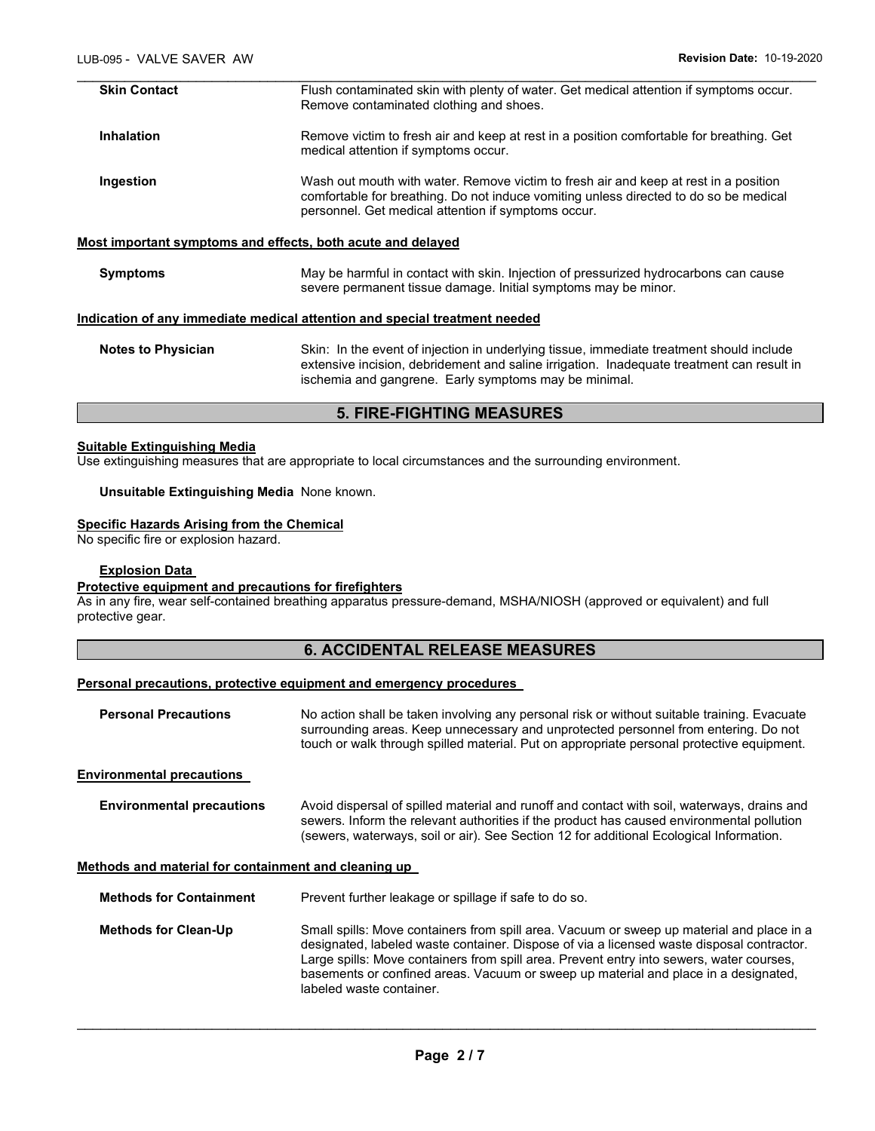| <b>Skin Contact</b> | Flush contaminated skin with plenty of water. Get medical attention if symptoms occur.<br>Remove contaminated clothing and shoes.                                                                                                    |
|---------------------|--------------------------------------------------------------------------------------------------------------------------------------------------------------------------------------------------------------------------------------|
| <b>Inhalation</b>   | Remove victim to fresh air and keep at rest in a position comfortable for breathing. Get<br>medical attention if symptoms occur.                                                                                                     |
| Ingestion           | Wash out mouth with water. Remove victim to fresh air and keep at rest in a position<br>comfortable for breathing. Do not induce vomiting unless directed to do so be medical<br>personnel. Get medical attention if symptoms occur. |
|                     | Most important symptoms and effects, both acute and delayed                                                                                                                                                                          |
| <b>Symptoms</b>     | May be harmful in contact with skin. Injection of pressurized hydrocarbons can cause<br>severe permanent tissue damage. Initial symptoms may be minor.                                                                               |
|                     | Indication of any immediate medical attention and special treatment needed                                                                                                                                                           |
|                     |                                                                                                                                                                                                                                      |

| Notes to Physician | Skin: In the event of injection in underlying tissue, immediate treatment should include  |
|--------------------|-------------------------------------------------------------------------------------------|
|                    | extensive incision, debridement and saline irrigation. Inadequate treatment can result in |
|                    | ischemia and gangrene. Early symptoms may be minimal.                                     |
|                    |                                                                                           |

## **5. FIRE-FIGHTING MEASURES**

## **Suitable Extinguishing Media**

Use extinguishing measures that are appropriate to local circumstances and the surrounding environment.

#### **Unsuitable Extinguishing Media** None known.

## **Specific Hazards Arising from the Chemical**

No specific fire or explosion hazard.

#### **Explosion Data**

#### **Protective equipment and precautions for firefighters**

As in any fire, wear self-contained breathing apparatus pressure-demand, MSHA/NIOSH (approved or equivalent) and full protective gear.

## **6. ACCIDENTAL RELEASE MEASURES**

## **Personal precautions, protective equipment and emergency procedures**

| <b>Personal Precautions</b>                          | No action shall be taken involving any personal risk or without suitable training. Evacuate<br>surrounding areas. Keep unnecessary and unprotected personnel from entering. Do not<br>touch or walk through spilled material. Put on appropriate personal protective equipment.                                                                                                                       |
|------------------------------------------------------|-------------------------------------------------------------------------------------------------------------------------------------------------------------------------------------------------------------------------------------------------------------------------------------------------------------------------------------------------------------------------------------------------------|
| <b>Environmental precautions</b>                     |                                                                                                                                                                                                                                                                                                                                                                                                       |
| <b>Environmental precautions</b>                     | Avoid dispersal of spilled material and runoff and contact with soil, waterways, drains and<br>sewers. Inform the relevant authorities if the product has caused environmental pollution<br>(sewers, waterways, soil or air). See Section 12 for additional Ecological Information.                                                                                                                   |
| Methods and material for containment and cleaning up |                                                                                                                                                                                                                                                                                                                                                                                                       |
| <b>Methods for Containment</b>                       | Prevent further leakage or spillage if safe to do so.                                                                                                                                                                                                                                                                                                                                                 |
| <b>Methods for Clean-Up</b>                          | Small spills: Move containers from spill area. Vacuum or sweep up material and place in a<br>designated, labeled waste container. Dispose of via a licensed waste disposal contractor.<br>Large spills: Move containers from spill area. Prevent entry into sewers, water courses,<br>basements or confined areas. Vacuum or sweep up material and place in a designated,<br>labeled waste container. |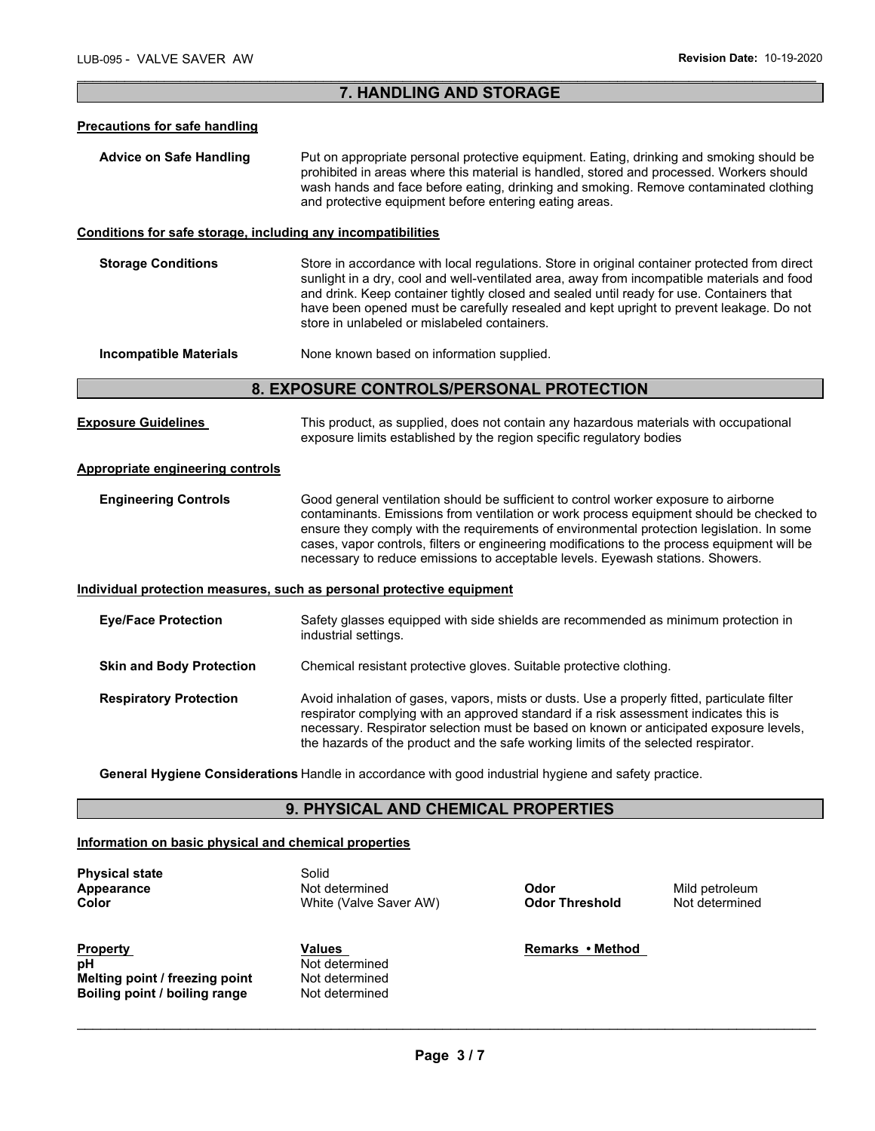## \_\_\_\_\_\_\_\_\_\_\_\_\_\_\_\_\_\_\_\_\_\_\_\_\_\_\_\_\_\_\_\_\_\_\_\_\_\_\_\_\_\_\_\_\_\_\_\_\_\_\_\_\_\_\_\_\_\_\_\_\_\_\_\_\_\_\_\_\_\_\_\_\_\_\_\_\_\_\_\_\_\_\_\_\_\_\_\_\_\_\_\_\_ **7. HANDLING AND STORAGE**

#### **Precautions for safe handling**

**Advice on Safe Handling** Put on appropriate personal protective equipment. Eating, drinking and smoking should be prohibited in areas where this material is handled, stored and processed. Workers should wash hands and face before eating, drinking and smoking. Remove contaminated clothing and protective equipment before entering eating areas.

#### **Conditions for safe storage, including any incompatibilities**

**Storage Conditions** Store in accordance with local regulations. Store in original container protected from direct sunlight in a dry, cool and well-ventilated area, away from incompatible materials and food and drink. Keep container tightly closed and sealed until ready for use. Containers that have been opened must be carefully resealed and kept upright to prevent leakage. Do not store in unlabeled or mislabeled containers.

**Incompatible Materials None known based on information supplied.** 

#### **8. EXPOSURE CONTROLS/PERSONAL PROTECTION**

**Exposure Guidelines** This product, as supplied, does not contain any hazardous materials with occupational exposure limits established by the region specific regulatory bodies

#### **Appropriate engineering controls**

**Engineering Controls** Good general ventilation should be sufficient to control worker exposure to airborne contaminants. Emissions from ventilation or work process equipment should be checked to ensure they comply with the requirements of environmental protection legislation. In some cases, vapor controls, filters or engineering modifications to the process equipment will be necessary to reduce emissions to acceptable levels. Eyewash stations. Showers.

#### **Individual protection measures, such as personal protective equipment**

| <b>Eye/Face Protection</b>      | Safety glasses equipped with side shields are recommended as minimum protection in<br>industrial settings.                                                                                                                                                                                                                                                            |
|---------------------------------|-----------------------------------------------------------------------------------------------------------------------------------------------------------------------------------------------------------------------------------------------------------------------------------------------------------------------------------------------------------------------|
| <b>Skin and Body Protection</b> | Chemical resistant protective gloves. Suitable protective clothing.                                                                                                                                                                                                                                                                                                   |
| <b>Respiratory Protection</b>   | Avoid inhalation of gases, vapors, mists or dusts. Use a properly fitted, particulate filter<br>respirator complying with an approved standard if a risk assessment indicates this is<br>necessary. Respirator selection must be based on known or anticipated exposure levels,<br>the hazards of the product and the safe working limits of the selected respirator. |

**General Hygiene Considerations** Handle in accordance with good industrial hygiene and safety practice.

## **9. PHYSICAL AND CHEMICAL PROPERTIES**

#### **Information on basic physical and chemical properties**

**Physical state Solid** 

**Appearance Not determined Odor Mild petroleum**<br> **Color Conduct Color Integral Advisor AM Color Threshold** Not determined **White (Valve Saver AW)** 

**Property Community Community Community Values Community Community Remarks • Method pH** Not determined<br> **Melting point / freezing point** Not determined **Melting point / freezing point and Melting point of the Melting Point of Belting Point Comment Belting Point C**<br>**Boiling point / boiling range and Point Comment Comment Comment Point Comment Point Comment Comment Comment Boiling point / boiling range**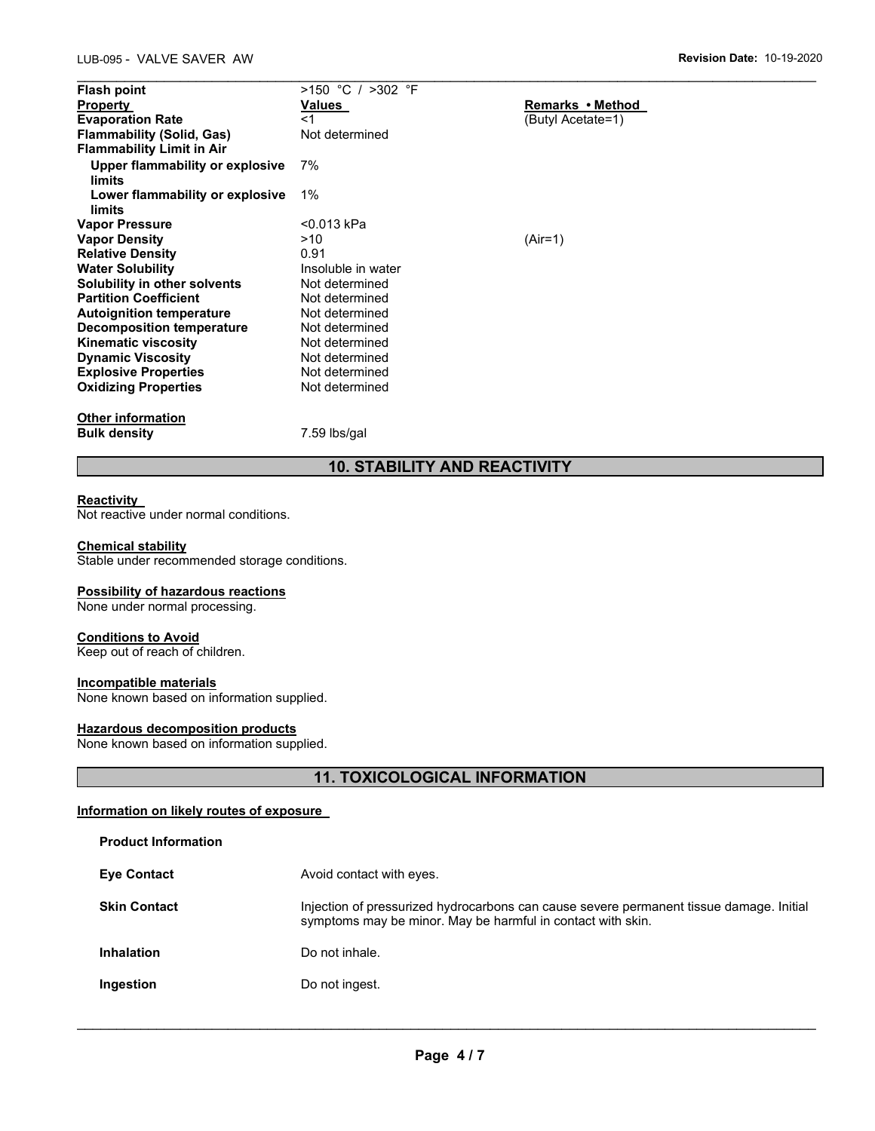| <b>Flash point</b>               | $>150$ °C / $>302$ °F |                   |
|----------------------------------|-----------------------|-------------------|
| <b>Property</b>                  | Values                | Remarks • Method  |
| <b>Evaporation Rate</b>          | $<$ 1                 | (Butyl Acetate=1) |
| <b>Flammability (Solid, Gas)</b> | Not determined        |                   |
| <b>Flammability Limit in Air</b> |                       |                   |
| Upper flammability or explosive  | 7%                    |                   |
| <b>limits</b>                    |                       |                   |
| Lower flammability or explosive  | $1\%$                 |                   |
| limits                           |                       |                   |
| <b>Vapor Pressure</b>            | <0.013 kPa            |                   |
| <b>Vapor Density</b>             | >10                   | $(Air=1)$         |
| <b>Relative Density</b>          | 0.91                  |                   |
| <b>Water Solubility</b>          | Insoluble in water    |                   |
| Solubility in other solvents     | Not determined        |                   |
| <b>Partition Coefficient</b>     | Not determined        |                   |
| <b>Autoignition temperature</b>  | Not determined        |                   |
| Decomposition temperature        | Not determined        |                   |
| <b>Kinematic viscosity</b>       | Not determined        |                   |
| <b>Dynamic Viscosity</b>         | Not determined        |                   |
| <b>Explosive Properties</b>      | Not determined        |                   |
| <b>Oxidizing Properties</b>      | Not determined        |                   |
| <b>Other information</b>         |                       |                   |
| <b>Bulk density</b>              | 7.59 lbs/gal          |                   |

# **10. STABILITY AND REACTIVITY**

#### **Reactivity**

Not reactive under normal conditions.

#### **Chemical stability**

Stable under recommended storage conditions.

#### **Possibility of hazardous reactions**

None under normal processing.

#### **Conditions to Avoid**

Keep out of reach of children.

## **Incompatible materials**

None known based on information supplied.

## **Hazardous decomposition products**

None known based on information supplied.

# **11. TOXICOLOGICAL INFORMATION**

#### **Information on likely routes of exposure**

| <b>Product Information</b> |                                                                                                                                                        |
|----------------------------|--------------------------------------------------------------------------------------------------------------------------------------------------------|
| <b>Eye Contact</b>         | Avoid contact with eyes.                                                                                                                               |
| <b>Skin Contact</b>        | Injection of pressurized hydrocarbons can cause severe permanent tissue damage. Initial<br>symptoms may be minor. May be harmful in contact with skin. |
| <b>Inhalation</b>          | Do not inhale.                                                                                                                                         |
| Ingestion                  | Do not ingest.                                                                                                                                         |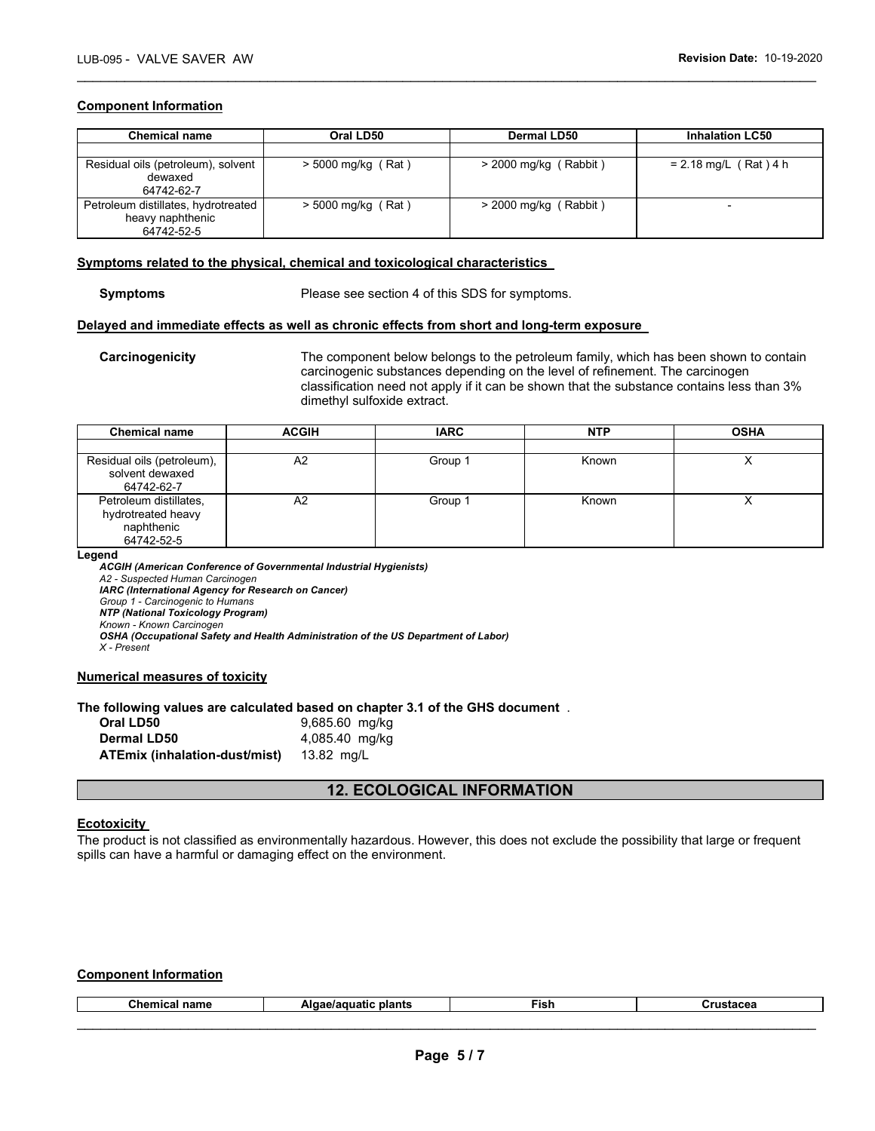#### **Component Information**

| <b>Chemical name</b>                                                  | Oral LD50            | Dermal LD50             | <b>Inhalation LC50</b>  |
|-----------------------------------------------------------------------|----------------------|-------------------------|-------------------------|
|                                                                       |                      |                         |                         |
| Residual oils (petroleum), solvent<br>dewaxed<br>64742-62-7           | $>$ 5000 mg/kg (Rat) | $>$ 2000 mg/kg (Rabbit) | $= 2.18$ mg/L (Rat) 4 h |
| Petroleum distillates, hydrotreated<br>heavy naphthenic<br>64742-52-5 | $>$ 5000 mg/kg (Rat) | $>$ 2000 mg/kg (Rabbit) |                         |

\_\_\_\_\_\_\_\_\_\_\_\_\_\_\_\_\_\_\_\_\_\_\_\_\_\_\_\_\_\_\_\_\_\_\_\_\_\_\_\_\_\_\_\_\_\_\_\_\_\_\_\_\_\_\_\_\_\_\_\_\_\_\_\_\_\_\_\_\_\_\_\_\_\_\_\_\_\_\_\_\_\_\_\_\_\_\_\_\_\_\_\_\_

#### **Symptoms related to the physical, chemical and toxicological characteristics**

**Symptoms** Please see section 4 of this SDS for symptoms.

#### **Delayed and immediate effects as well as chronic effects from short and long-term exposure**

**Carcinogenicity** The component below belongs to the petroleum family, which has been shown to contain carcinogenic substances depending on the level of refinement. The carcinogen classification need not apply if it can be shown that the substance contains less than 3% dimethyl sulfoxide extract.

| <b>Chemical name</b>                                                     | <b>ACGIH</b> | <b>IARC</b> | <b>NTP</b> | <b>OSHA</b> |
|--------------------------------------------------------------------------|--------------|-------------|------------|-------------|
|                                                                          |              |             |            |             |
| Residual oils (petroleum),<br>solvent dewaxed<br>64742-62-7              | A2           | Group 1     | Known      |             |
| Petroleum distillates,<br>hydrotreated heavy<br>naphthenic<br>64742-52-5 | A2           | Group 1     | Known      |             |

**Legend** 

*ACGIH (American Conference of Governmental Industrial Hygienists) A2 - Suspected Human Carcinogen IARC (International Agency for Research on Cancer) Group 1 - Carcinogenic to Humans NTP (National Toxicology Program) Known - Known Carcinogen OSHA (Occupational Safety and Health Administration of the US Department of Labor) X - Present* 

#### **Numerical measures of toxicity**

#### **The following values are calculated based on chapter 3.1 of the GHS document** .

| Oral LD50                     | 9,685.60 mg/kg |
|-------------------------------|----------------|
| Dermal LD50                   | 4,085.40 mg/kg |
| ATEmix (inhalation-dust/mist) | 13.82 ma/L     |

## **12. ECOLOGICAL INFORMATION**

#### **Ecotoxicity**

The product is not classified as environmentally hazardous. However, this does not exclude the possibility that large or frequent spills can have a harmful or damaging effect on the environment.

## **Component Information**

| г.<br>$- - - -$<br>пане | <b><i><u><b>The Line Address</b></u></i></b><br>⊤nanu. | --<br>こうへん<br>וכו־ | -----<br>. |
|-------------------------|--------------------------------------------------------|--------------------|------------|
|                         |                                                        |                    |            |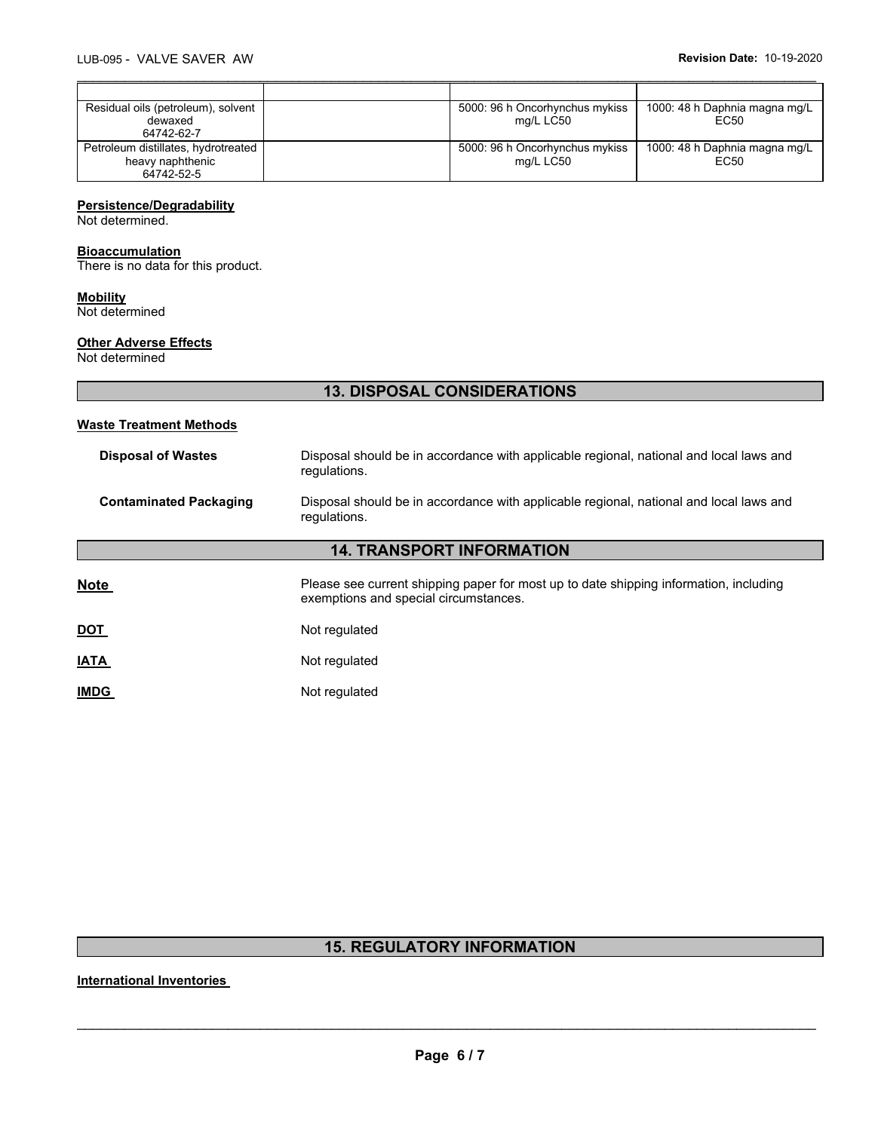| Residual oils (petroleum), solvent  | 5000: 96 h Oncorhynchus mykiss | 1000: 48 h Daphnia magna mg/L |
|-------------------------------------|--------------------------------|-------------------------------|
| dewaxed                             | mg/L LC50                      | EC50                          |
| 64742-62-7                          |                                |                               |
| Petroleum distillates, hydrotreated | 5000: 96 h Oncorhynchus mykiss | 1000: 48 h Daphnia magna mg/L |
| heavy naphthenic                    | mg/L LC50                      | EC50                          |
| 64742-52-5                          |                                |                               |

\_\_\_\_\_\_\_\_\_\_\_\_\_\_\_\_\_\_\_\_\_\_\_\_\_\_\_\_\_\_\_\_\_\_\_\_\_\_\_\_\_\_\_\_\_\_\_\_\_\_\_\_\_\_\_\_\_\_\_\_\_\_\_\_\_\_\_\_\_\_\_\_\_\_\_\_\_\_\_\_\_\_\_\_\_\_\_\_\_\_\_\_\_

## **Persistence/Degradability**

Not determined.

## **Bioaccumulation**

There is no data for this product.

## **Mobility**

Not determined

## **Other Adverse Effects**

Not determined

# **13. DISPOSAL CONSIDERATIONS**

## **Waste Treatment Methods**

| <b>Disposal of Wastes</b>        | Disposal should be in accordance with applicable regional, national and local laws and<br>regulations.                         |  |  |  |  |
|----------------------------------|--------------------------------------------------------------------------------------------------------------------------------|--|--|--|--|
| <b>Contaminated Packaging</b>    | Disposal should be in accordance with applicable regional, national and local laws and<br>regulations.                         |  |  |  |  |
| <b>14. TRANSPORT INFORMATION</b> |                                                                                                                                |  |  |  |  |
| <b>Note</b>                      | Please see current shipping paper for most up to date shipping information, including<br>exemptions and special circumstances. |  |  |  |  |
| <u>DOT</u>                       | Not regulated                                                                                                                  |  |  |  |  |
| <b>IATA</b>                      | Not regulated                                                                                                                  |  |  |  |  |
| <b>IMDG</b>                      | Not regulated                                                                                                                  |  |  |  |  |

# **15. REGULATORY INFORMATION**

**International Inventories**